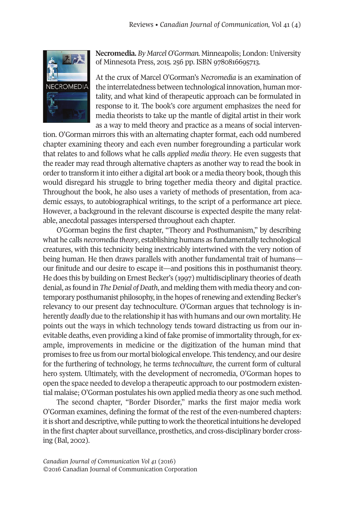

**Necromedia.** *By Marcel O'Gorman.* Minneapolis; London:University of Minnesota Press, 2015. 256 pp. ISBN 9780816695713.

At the crux of Marcel O'Gorman's *Necromedia* is an examination of the interrelatedness between technological innovation, human mortality, and what kind of therapeutic approach can be formulated in response to it. The book's core argument emphasizes the need for media theorists to take up the mantle of digital artist in their work as a way to meld theory and practice as a means of social interven-

tion. O'Gorman mirrors this with an alternating chapter format, each odd numbered chapter examining theory and each even number foregrounding a particular work that relates to and follows what he calls *applied media theory*. He even suggests that the reader may read through alternative chapters as another way to read the book in order to transform it into either a digital art book or a media theory book, though this would disregard his struggle to bring together media theory and digital practice. Throughout the book, he also uses a variety of methods of presentation, from academic essays, to autobiographical writings, to the script of a performance art piece. However, a background in the relevant discourse is expected despite the many relatable, anecdotal passages interspersed throughout each chapter.

O'Gorman begins the first chapter, "Theory and Posthumanism," by describing what he calls *necromedia theory*, establishing humans as fundamentally technological creatures, with this technicity being inextricably intertwined with the very notion of being human. He then draws parallels with another fundamental trait of humans our finitude and our desire to escape it—and positions this in posthumanist theory. He does this by building on Ernest Becker's (1997) multidisciplinary theories of death denial, as found in *The Denial of Death*, and melding them with media theory and contemporary posthumanist philosophy, in the hopes ofrenewing and extending Becker's relevancy to our present day technoculture. O'Gorman argues that technology is inherently *deadly* due to the relationship it has with humans and our own mortality. He points out the ways in which technology tends toward distracting us from our inevitable deaths, even providing a kind of fake promise of immortality through, for example, improvements in medicine or the digitization of the human mind that promises to free us from our mortal biological envelope. This tendency, and our desire for the furthering of technology, he terms *technoculture*, the current form of cultural hero system. Ultimately, with the development of necromedia, O'Gorman hopes to open the space needed to develop a therapeutic approach to our postmodern existential malaise; O'Gorman postulates his own applied media theory as one such method.

The second chapter, "Border Disorder," marks the first major media work O'Gorman examines, defining the format of the rest of the even-numbered chapters: itis short and descriptive, while putting to work the theoretical intuitions he developed in the first chapter about surveillance, prosthetics, and cross-disciplinary border crossing (Bal, 2002).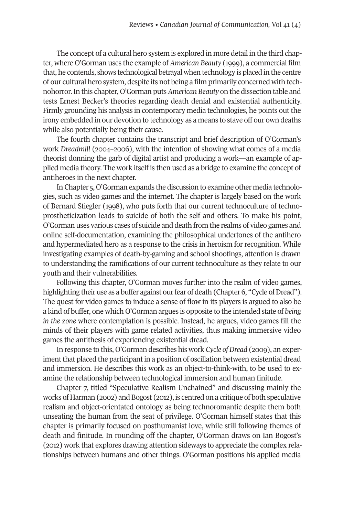The concept of a cultural hero system is explored in more detail in the third chapter, where O'Gorman uses the example of *American Beauty* (1999), a commercial film that, he contends, shows technological betrayal when technology is placed in the centre of our cultural hero system, despite its not being a film primarily concerned with technohorror.In this chapter, O'Gorman puts*American Beauty* on the dissection table and tests Ernest Becker's theories regarding death denial and existential authenticity. Firmly grounding his analysis in contemporary media technologies, he points out the irony embedded in our devotion to technology as a means to stave off our own deaths while also potentially being their cause.

The fourth chapter contains the transcript and brief description of O'Gorman's work *Dreadmill* (2004–2006), with the intention of showing what comes of a media theorist donning the garb of digital artist and producing a work—an example of applied media theory. The work itself is then used as a bridge to examine the concept of antiheroes in the next chapter.

In Chapter 5, O'Gorman expands the discussion to examine other media technologies, such as video games and the internet. The chapter is largely based on the work of Bernard Stiegler (1998), who puts forth that our current technoculture of technoprostheticization leads to suicide of both the self and others. To make his point, O'Gorman uses various cases of suicide and death from the realms of video games and online self-documentation, examining the philosophical undertones of the antihero and hypermediated hero as a response to the crisis in heroism for recognition. While investigating examples of death-by-gaming and school shootings, attention is drawn to understanding the ramifications of our current technoculture as they relate to our youth and their vulnerabilities.

Following this chapter, O'Gorman moves further into the realm of video games, highlighting their use as a buffer against our fear of death (Chapter 6, "Cycle of Dread"). The quest for video games to induce a sense of flow in its players is argued to also be a kind of buffer, one which O'Gorman argues is opposite to the intended state of *being in the zone* where contemplation is possible. Instead, he argues, video games fill the minds of their players with game related activities, thus making immersive video games the antithesis of experiencing existential dread.

In response to this, O'Gorman describes his work *Cycle* of *Dread* (2009), an experiment that placed the participant in a position of oscillation between existential dread and immersion. He describes this work as an object-to-think-with, to be used to examine the relationship between technological immersion and human finitude.

Chapter 7, titled "Speculative Realism Unchained" and discussing mainly the works of Harman (2002) and Bogost (2012), is centred on a critique of both speculative realism and object-orientated ontology as being technoromantic despite them both unseating the human from the seat of privilege. O'Gorman himself states that this chapter is primarily focused on posthumanist love, while still following themes of death and finitude. In rounding off the chapter, O'Gorman draws on Ian Bogost's (2012) work that explores drawing attention sideways to appreciate the complex relationships between humans and other things. O'Gorman positions his applied media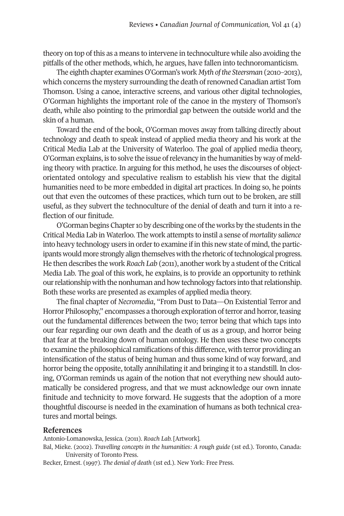theory on top of this as a means to intervene in technoculture while also avoiding the pitfalls of the other methods, which, he argues, have fallen into technoromanticism.

The eighth chapter examines O'Gorman's work *Myth ofthe Steersman* (2010–2013), which concerns the mystery surrounding the death ofrenowned Canadian artist Tom Thomson. Using a canoe, interactive screens, and various other digital technologies, O'Gorman highlights the important role of the canoe in the mystery of Thomson's death, while also pointing to the primordial gap between the outside world and the skin of a human.

Toward the end of the book, O'Gorman moves away from talking directly about technology and death to speak instead of applied media theory and his work at the Critical Media Lab at the University of Waterloo. The goal of applied media theory, O'Gorman explains, is to solve the issue ofrelevancy in the humanities by way of melding theory with practice. In arguing for this method, he uses the discourses of objectorientated ontology and speculative realism to establish his view that the digital humanities need to be more embedded in digital art practices. In doing so, he points out that even the outcomes of these practices, which turn out to be broken, are still useful, as they subvert the technoculture of the denial of death and turn it into a reflection of our finitude.

O'Gorman begins Chapter 10 by describing one of the works by the students in the Critical Media Lab in Waterloo. The work attempts to instil a sense of *mortality salience* into heavy technology users in order to examine if in this new state of mind, the participants would more strongly align themselves with the rhetoric of technological progress. He then describes the work *Roach Lab* (2011), another work by a student ofthe Critical Media Lab. The goal of this work, he explains, is to provide an opportunity to rethink ourrelationship with the nonhuman and how technology factors into thatrelationship. Both these works are presented as examples of applied media theory.

The final chapter of *Necromedia*, "From Dust to Data—On Existential Terror and Horror Philosophy," encompasses a thorough exploration ofterror and horror,teasing out the fundamental differences between the two; terror being that which taps into our fear regarding our own death and the death of us as a group, and horror being that fear at the breaking down of human ontology. He then uses these two concepts to examine the philosophical ramifications of this difference, with terror providing an intensification of the status of being human and thus some kind of way forward, and horror being the opposite, totally annihilating it and bringing it to a standstill. In closing, O'Gorman reminds us again of the notion that not everything new should automatically be considered progress, and that we must acknowledge our own innate finitude and technicity to move forward. He suggests that the adoption of a more thoughtful discourse is needed in the examination of humans as both technical creatures and mortal beings.

## **References**

Antonio-Lomanowska, Jessica. (2011). *Roach Lab.* [Artwork].

Bal, Mieke. (2002). *Travelling concepts in the humanities: A rough guide* (1st ed.). Toronto, Canada: University of Toronto Press.

Becker, Ernest. (1997). *The denial of death* (1st ed.). New York: Free Press.